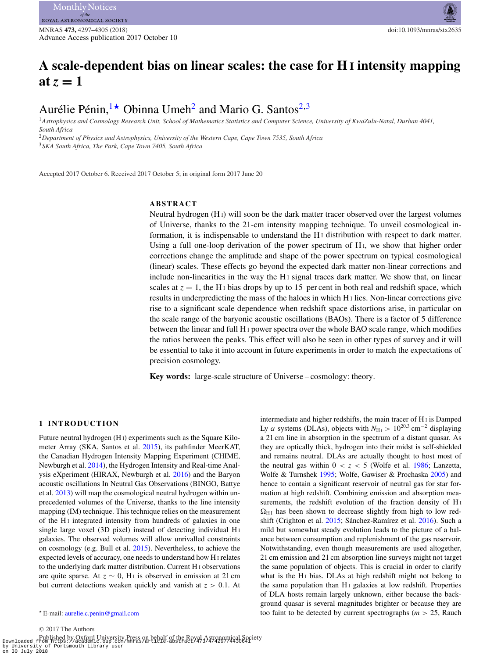# **A scale-dependent bias on linear scales: the case for H I intensity mapping**  $at z = 1$

# Aurélie Pénin, <sup>[1](#page-0-0)\*</sup> Obinna Umeh<sup>[2](#page-0-2)</sup> and Mario G. Santos<sup>[2,](#page-0-2)[3](#page-0-3)</sup>

<span id="page-0-0"></span><sup>1</sup>*Astrophysics and Cosmology Research Unit, School of Mathematics Statistics and Computer Science, University of KwaZulu-Natal, Durban 4041, South Africa*

<span id="page-0-3"></span><span id="page-0-2"></span><sup>2</sup>*Department of Physics and Astrophysics, University of the Western Cape, Cape Town 7535, South Africa* <sup>3</sup>*SKA South Africa, The Park, Cape Town 7405, South Africa*

Accepted 2017 October 6. Received 2017 October 5; in original form 2017 June 20

# **ABSTRACT**

Neutral hydrogen  $(H<sub>I</sub>)$  will soon be the dark matter tracer observed over the largest volumes of Universe, thanks to the 21-cm intensity mapping technique. To unveil cosmological information, it is indispensable to understand the  $H_1$  distribution with respect to dark matter. Using a full one-loop derivation of the power spectrum of  $H<sub>I</sub>$ , we show that higher order corrections change the amplitude and shape of the power spectrum on typical cosmological (linear) scales. These effects go beyond the expected dark matter non-linear corrections and include non-linearities in the way the H $\scriptstyle\rm I$  signal traces dark matter. We show that, on linear scales at  $z = 1$ , the H<sub>1</sub> bias drops by up to 15 per cent in both real and redshift space, which results in underpredicting the mass of the haloes in which H <sup>I</sup> lies. Non-linear corrections give rise to a significant scale dependence when redshift space distortions arise, in particular on the scale range of the baryonic acoustic oscillations (BAOs). There is a factor of 5 difference between the linear and full H <sup>I</sup> power spectra over the whole BAO scale range, which modifies the ratios between the peaks. This effect will also be seen in other types of survey and it will be essential to take it into account in future experiments in order to match the expectations of precision cosmology.

**Key words:** large-scale structure of Universe – cosmology: theory.

# **1 INTRODUCTION**

Future neutral hydrogen (H<sub>I</sub>) experiments such as the Square Kilometer Array (SKA, Santos et al. [2015\)](#page-8-0), its pathfinder MeerKAT, the Canadian Hydrogen Intensity Mapping Experiment (CHIME, Newburgh et al. [2014\)](#page-8-1), the Hydrogen Intensity and Real-time Analysis eXperiment (HIRAX, Newburgh et al. [2016\)](#page-8-2) and the Baryon acoustic oscillations In Neutral Gas Observations (BINGO, Battye et al. [2013\)](#page-7-0) will map the cosmological neutral hydrogen within unprecedented volumes of the Universe, thanks to the line intensity mapping (IM) technique. This technique relies on the measurement of the  $H_1$  integrated intensity from hundreds of galaxies in one single large voxel (3D pixel) instead of detecting individual H <sup>I</sup> galaxies. The observed volumes will allow unrivalled constraints on cosmology (e.g. Bull et al. [2015\)](#page-8-3). Nevertheless, to achieve the expected levels of accuracy, one needs to understand how H <sup>I</sup> relates to the underlying dark matter distribution. Current H<sub>1</sub> observations are quite sparse. At  $z \sim 0$ , H<sub>I</sub> is observed in emission at 21 cm but current detections weaken quickly and vanish at *z* > 0.1. At

<span id="page-0-1"></span>- E-mail: [aurelie.c.penin@gmail.com](mailto:aurelie.c.penin@gmail.com)

intermediate and higher redshifts, the main tracer of H<sub>I</sub> is Damped Ly  $\alpha$  systems (DLAs), objects with  $N_{\text{H}_{\text{I}}} > 10^{20.3} \text{ cm}^{-2}$  displaying a 21 cm line in absorption in the spectrum of a distant quasar. As they are optically thick, hydrogen into their midst is self-shielded and remains neutral. DLAs are actually thought to host most of the neutral gas within  $0 < z < 5$  (Wolfe et al. [1986;](#page-8-4) Lanzetta, Wolfe & Turnshek [1995;](#page-8-5) Wolfe, Gawiser & Prochaska [2005\)](#page-8-6) and hence to contain a significant reservoir of neutral gas for star formation at high redshift. Combining emission and absorption measurements, the redshift evolution of the fraction density of H<sub>I</sub>  $\Omega_{\rm HI}$  has been shown to decrease slightly from high to low red-shift (Crighton et al. [2015;](#page-8-7) Sánchez-Ramírez et al. [2016\)](#page-8-8). Such a mild but somewhat steady evolution leads to the picture of a balance between consumption and replenishment of the gas reservoir. Notwithstanding, even though measurements are used altogether, 21 cm emission and 21 cm absorption line surveys might not target the same population of objects. This is crucial in order to clarify what is the  $H_1$  bias. DLAs at high redshift might not belong to the same population than H<sub>I</sub> galaxies at low redshift. Properties of DLA hosts remain largely unknown, either because the background quasar is several magnitudes brighter or because they are too faint to be detected by current spectrographs (*m* > 25, Rauch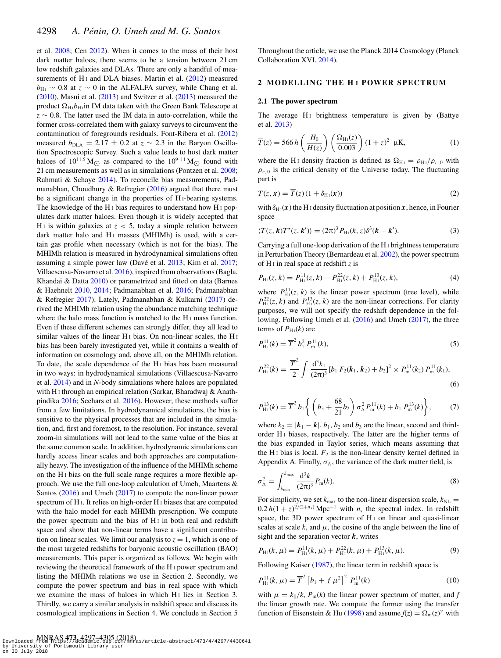et al. [2008;](#page-8-9) Cen [2012\)](#page-8-10). When it comes to the mass of their host dark matter haloes, there seems to be a tension between 21 cm low redshift galaxies and DLAs. There are only a handful of measurements of H<sub>I</sub> and DLA biases. Martin et al.  $(2012)$  measured  $b_{\text{H}_{\text{I}}}$  ~ 0.8 at  $z \sim 0$  in the ALFALFA survey, while Chang et al. [\(2010\)](#page-8-12), Masui et al. [\(2013\)](#page-8-13) and Switzer et al. [\(2013\)](#page-8-14) measured the product  $\Omega_{\text{H}_{\text{I}}}$ *b*<sub>H<sub>1</sub></sub>in IM data taken with the Green Bank Telescope at *z* ∼ 0.8. The latter used the IM data in auto-correlation, while the former cross-correlated them with galaxy surveys to circumvent the contamination of foregrounds residuals. Font-Ribera et al. [\(2012\)](#page-8-15) measured  $b_{\text{DLA}} = 2.17 \pm 0.2$  at  $z \sim 2.3$  in the Baryon Oscillation Spectroscopic Survey. Such a value leads to host dark matter haloes of  $10^{11.5}$  M<sub> $\odot$ </sub> as compared to the  $10^{9-11}$  M<sub> $\odot$ </sub> found with 21 cm measurements as well as in simulations (Pontzen et al. [2008;](#page-8-16) Rahmati & Schaye [2014\)](#page-8-17). To reconcile bias measurements, Padmanabhan, Choudhury & Refregier [\(2016\)](#page-8-18) argued that there must be a significant change in the properties of H I-bearing systems. The knowledge of the H<sub>I</sub> bias requires to understand how H<sub>I</sub> populates dark matter haloes. Even though it is widely accepted that H<sub>I</sub> is within galaxies at  $z < 5$ , today a simple relation between dark matter halo and  $H_1$  masses (MHIMh) is used, with a certain gas profile when necessary (which is not for the bias). The MHIMh relation is measured in hydrodynamical simulations often assuming a simple power law (Davé et al. [2013;](#page-8-19) Kim et al. [2017;](#page-8-20) Villaescusa-Navarro et al. [2016\)](#page-8-21), inspired from observations (Bagla, Khandai & Datta [2010\)](#page-7-1) or parametrized and fitted on data (Barnes & Haehnelt [2010,](#page-7-2) [2014;](#page-7-3) Padmanabhan et al. [2016;](#page-8-18) Padmanabhan & Refregier [2017\)](#page-8-22). Lately, Padmanabhan & Kulkarni [\(2017\)](#page-8-23) derived the MHIMh relation using the abundance matching technique where the halo mass function is matched to the H<sub>I</sub> mass function. Even if these different schemes can strongly differ, they all lead to similar values of the linear H<sub>I</sub> bias. On non-linear scales, the H<sub>I</sub> bias has been barely investigated yet, while it contains a wealth of information on cosmology and, above all, on the MHIMh relation. To date, the scale dependence of the H<sub>I</sub> bias has been measured in two ways: in hydrodynamical simulations (Villaescusa-Navarro et al. [2014\)](#page-8-24) and in *N*-body simulations where haloes are populated with H<sub>I</sub> through an empirical relation (Sarkar, Bharadwaj & Anathpindika [2016;](#page-8-25) Seehars et al. [2016\)](#page-8-26). However, these methods suffer from a few limitations. In hydrodynamical simulations, the bias is sensitive to the physical processes that are included in the simulation, and, first and foremost, to the resolution. For instance, several zoom-in simulations will not lead to the same value of the bias at the same common scale. In addition, hydrodynamic simulations can hardly access linear scales and both approaches are computationally heavy. The investigation of the influence of the MHIMh scheme on the H $<sub>1</sub>$  bias on the full scale range requires a more flexible ap-</sub> proach. We use the full one-loop calculation of Umeh, Maartens & Santos [\(2016\)](#page-8-27) and Umeh [\(2017\)](#page-8-28) to compute the non-linear power spectrum of H<sub>I</sub>. It relies on high-order H<sub>I</sub> biases that are computed with the halo model for each MHIMh prescription. We compute the power spectrum and the bias of  $H_1$  in both real and redshift space and show that non-linear terms have a significant contribution on linear scales. We limit our analysis to  $z = 1$ , which is one of the most targeted redshifts for baryonic acoustic oscillation (BAO) measurements. This paper is organized as follows. We begin with reviewing the theoretical framework of the H <sup>I</sup> power spectrum and listing the MHIMh relations we use in Section 2. Secondly, we compute the power spectrum and bias in real space with which we examine the mass of haloes in which H<sub>I</sub> lies in Section 3. Thirdly, we carry a similar analysis in redshift space and discuss its cosmological implications in Section 4. We conclude in Section 5

Throughout the article, we use the Planck 2014 Cosmology (Planck Collaboration XVI. [2014\)](#page-8-29).

#### **2 MODELLING THE H I POWER SPECTRUM**

#### **2.1 The power spectrum**

The average  $H_1$  brightness temperature is given by (Battye et al. [2013\)](#page-7-0)

$$
\overline{T}(z) = 566 h \left(\frac{H_0}{H(z)}\right) \left(\frac{\Omega_{\text{H}_1}(z)}{0.003}\right) (1+z)^2 \ \mu\text{K},\tag{1}
$$

where the H<sub>I</sub> density fraction is defined as  $\Omega_{\text{H}_{\text{I}}} = \rho_{\text{H}_{\text{I}}}/\rho_{\text{c},0}$  with  $\rho_{c,0}$  is the critical density of the Universe today. The fluctuating part is

$$
T(z, x) = \overline{T}(z)(1 + \delta_{\mathrm{H}_1}(x))
$$
\n(2)

with  $\delta_{H_1}(x)$  the H<sub>I</sub> density fluctuation at position x, hence, in Fourier space

$$
\langle T(z,\mathbf{k})T^{\star}(z,\mathbf{k}')\rangle = (2\pi)^3 P_{\mathrm{H}_1}(k,z)\delta^3(\mathbf{k}-\mathbf{k}'). \tag{3}
$$

Carrying a full one-loop derivation of the H <sup>I</sup> brightness temperature in Perturbation Theory (Bernardeau et al. [2002\)](#page-7-4), the power spectrum of H <sup>I</sup> in real space at redshift *z* is

$$
P_{\mathrm{H}_1}(z,k) = P_{\mathrm{H}_1}^{11}(z,k) + P_{\mathrm{H}_1}^{22}(z,k) + P_{\mathrm{H}_1}^{13}(z,k),\tag{4}
$$

where  $P_{\text{H}_{1}}^{11}(z, k)$  is the linear power spectrum (tree level), while  $P_{\rm H1}^{22}(z, k)$  and  $P_{\rm H1}^{13}(z, k)$  are the non-linear corrections. For clarity purposes, we will not specify the redshift dependence in the following. Following Umeh et al. [\(2016\)](#page-8-27) and Umeh [\(2017\)](#page-8-28), the three terms of  $P_{\text{H}_{\text{I}}}(k)$  are

$$
P_{\rm H1}^{11}(k) = \overline{T}^2 b_1^2 P_{\rm m}^{11}(k),\tag{5}
$$

$$
P_{\rm H1}^{22}(k) = \frac{\overline{T}^2}{2} \int \frac{\mathrm{d}^3 k_1}{(2\pi)^3} [b_1 F_2(\boldsymbol{k}_1, \boldsymbol{k}_2) + b_2]^2 \times P_{\rm m}^{11}(k_2) P_{\rm m}^{11}(k_1),
$$
\n(6)

$$
P_{\mathrm{H}_1}^{13}(k) = \overline{T}^2 b_1 \left\{ \left( b_3 + \frac{68}{21} b_2 \right) \sigma_\Lambda^2 P_{\mathrm{m}}^{11}(k) + b_1 P_{\mathrm{m}}^{13}(k) \right\},\tag{7}
$$

where  $k_2 = |\mathbf{k}_1 - \mathbf{k}|$ .  $b_1, b_2$  and  $b_3$  are the linear, second and thirdorder H<sub>I</sub> biases, respectively. The latter are the higher terms of the bias expanded in Taylor series, which means assuming that the H<sub>I</sub> bias is local.  $F_2$  is the non-linear density kernel defined in Appendix A. Finally,  $\sigma_{\Lambda}$ , the variance of the dark matter field, is

$$
\sigma_{\Lambda}^2 = \int_{k_{\rm min}}^{k_{\rm max}} \frac{\mathrm{d}^3 k}{(2\pi)^3} P_{\rm m}(k). \tag{8}
$$

For simplicity, we set  $k_{\text{max}}$  to the non-linear dispersion scale,  $k_{\text{NL}} =$  $0.2 h(1+z)^{2/(2+n_s)}$  Mpc<sup>-1</sup> with  $n_s$  the spectral index. In redshift space, the 3D power spectrum of  $H<sub>I</sub>$  on linear and quasi-linear scales at scale  $k$ , and  $\mu$ , the cosine of the angle between the line of sight and the separation vector *k*, writes

$$
P_{\mathrm{H}_1}(k,\mu) = P_{\mathrm{H}_1}^{11}(k,\mu) + P_{\mathrm{H}_1}^{22}(k,\mu) + P_{\mathrm{H}_1}^{13}(k,\mu). \tag{9}
$$

Following Kaiser [\(1987\)](#page-8-30), the linear term in redshift space is

$$
P_{\rm H1}^{11}(k,\mu) = \overline{T}^2 \left[ b_1 + f \mu^2 \right]^2 P_{\rm m}^{11}(k) \tag{10}
$$

with  $\mu = k_{\parallel}/k$ ,  $P_{\text{m}}(k)$  the linear power spectrum of matter, and *f* the linear growth rate. We compute the former using the transfer function of Eisenstein & Hu [\(1998\)](#page-8-31) and assume  $f(z) = \Omega_{\text{m}}(z)^{\gamma}$  with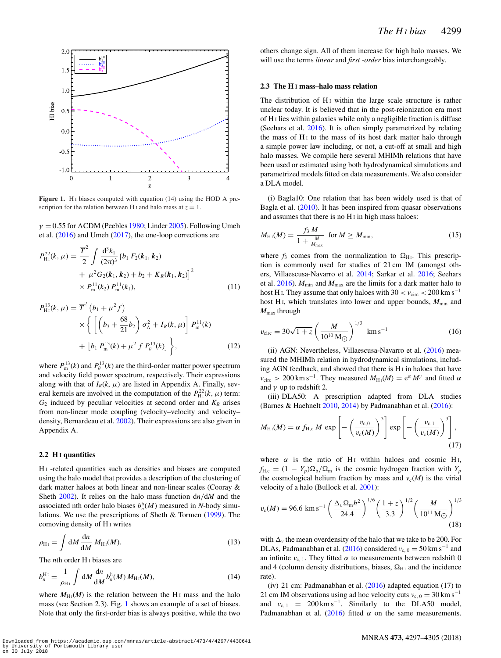<span id="page-2-0"></span>

Figure 1. H<sub>I</sub> biases computed with equation (14) using the HOD A prescription for the relation between H<sub>I</sub> and halo mass at  $z = 1$ .

 $\gamma = 0.55$  for  $\Lambda$ CDM (Peebles [1980;](#page-8-32) Linder [2005\)](#page-8-33). Following Umeh et al. [\(2016\)](#page-8-27) and Umeh [\(2017\)](#page-8-28), the one-loop corrections are

$$
P_{\rm H1}^{22}(k,\mu) = \frac{\overline{T}^2}{2} \int \frac{\mathrm{d}^3 k_1}{(2\pi)^3} \left[ b_1 F_2(k_1, k_2) + \mu^2 G_2(k_1, k_2) + b_2 + K_R(k_1, k_2) \right]^2
$$
  
 
$$
\times P_{\rm m}^{11}(k_2) P_{\rm m}^{11}(k_1), \tag{11}
$$

$$
P_{\text{H1}}^{13}(k,\mu) = \overline{T}^2 (b_1 + \mu^2 f)
$$
  
 
$$
\times \left\{ \left[ \left( b_3 + \frac{68}{21} b_2 \right) \sigma_A^2 + I_R(k,\mu) \right] P_{\text{m}}^{11}(k) + \left[ b_1 P_{\text{m}}^{13}(k) + \mu^2 f P_{\theta}^{13}(k) \right] \right\},
$$
 (12)

where  $P_{\text{m}}^{13}(k)$  and  $P_{\theta}^{13}(k)$  are the third-order matter power spectrum and velocity field power spectrum, respectively. Their expressions along with that of  $I_R(k, \mu)$  are listed in Appendix A. Finally, several kernels are involved in the computation of the  $P_{\rm H_1}^{22}(k, \mu)$  term:  $G_2$  induced by peculiar velocities at second order and  $K_R$  arises from non-linear mode coupling (velocity–velocity and velocity– density, Bernardeau et al. [2002\)](#page-7-4). Their expressions are also given in Appendix A.

#### **2.2 H I quantities**

H<sub>I</sub>-related quantities such as densities and biases are computed using the halo model that provides a description of the clustering of dark matter haloes at both linear and non-linear scales (Cooray & Sheth [2002\)](#page-8-34). It relies on the halo mass function d*n*/d*M* and the associated nth order halo biases  $b_n^h(M)$  measured in *N*-body simulations. We use the prescriptions of Sheth & Tormen [\(1999\)](#page-8-35). The comoving density of H <sup>I</sup> writes

$$
\rho_{\rm H\,I} = \int dM \frac{dn}{dM} M_{\rm H\,I}(M). \tag{13}
$$

The *n*th order H<sub>I</sub> biases are

$$
b_n^{\rm H_1} = \frac{1}{\rho_{\rm H_1}} \int dM \frac{dn}{dM} b_n^{\rm h}(M) M_{\rm H_1}(M), \tag{14}
$$

where  $M_{\text{H}_{\text{I}}}(M)$  is the relation between the H<sub>I</sub> mass and the halo mass (see Section 2.3). Fig. [1](#page-2-0) shows an example of a set of biases. Note that only the first-order bias is always positive, while the two others change sign. All of them increase for high halo masses. We will use the terms *linear* and *first -order* bias interchangeably.

# **2.3 The H I mass–halo mass relation**

The distribution of  $H<sub>I</sub>$  within the large scale structure is rather unclear today. It is believed that in the post-reionization era most of H <sup>I</sup> lies within galaxies while only a negligible fraction is diffuse (Seehars et al. [2016\)](#page-8-26). It is often simply parametrized by relating the mass of H<sub>I</sub> to the mass of its host dark matter halo through a simple power law including, or not, a cut-off at small and high halo masses. We compile here several MHIMh relations that have been used or estimated using both hydrodynamical simulations and parametrized models fitted on data measurements. We also consider a DLA model.

(i) Bagla10: One relation that has been widely used is that of Bagla et al. [\(2010\)](#page-7-1). It has been inspired from quasar observations and assumes that there is no  $H \text{I}$  in high mass haloes:

$$
M_{\text{H}_1}(M) = \frac{f_3 M}{1 + \frac{M}{M_{\text{max}}}} \text{ for } M \ge M_{\text{min}},
$$
 (15)

where  $f_3$  comes from the normalization to  $\Omega_{\text{H}_{1}}$ . This prescription is commonly used for studies of 21 cm IM (amongst others, Villaescusa-Navarro et al. [2014;](#page-8-24) Sarkar et al. [2016;](#page-8-25) Seehars et al.  $2016$ ).  $M_{\text{min}}$  and  $M_{\text{max}}$  are the limits for a dark matter halo to host H<sub>1</sub>. They assume that only haloes with  $30 < v_{\rm circ} < 200$  km s<sup>-1</sup> host H<sub>I</sub>, which translates into lower and upper bounds,  $M_{\text{min}}$  and  $M_{\text{max}}$  through

$$
v_{\rm circ} = 30\sqrt{1+z} \left(\frac{M}{10^{10} \,\mathrm{M}_{\odot}}\right)^{1/3} \,\mathrm{km\,s^{-1}} \tag{16}
$$

(ii) AGN: Nevertheless, Villaescusa-Navarro et al. [\(2016\)](#page-8-21) measured the MHIMh relation in hydrodynamical simulations, including AGN feedback, and showed that there is H <sup>I</sup> in haloes that have  $v_{\text{circ}} > 200 \text{ km s}^{-1}$ . They measured  $M_{\text{H}_{\text{I}}}(M) = e^{\alpha} M^{\gamma}$  and fitted  $\alpha$ and  $\gamma$  up to redshift 2.

(iii) DLA50: A prescription adapted from DLA studies (Barnes & Haehnelt [2010,](#page-7-2) [2014\)](#page-7-3) by Padmanabhan et al. [\(2016\)](#page-8-18):

$$
M_{\rm H1}(M) = \alpha \, f_{\rm H,c} \, M \, \exp\left[-\left(\frac{v_{\rm c,0}}{v_{\rm c}(M)}\right)^3\right] \exp\left[-\left(\frac{v_{\rm c,1}}{v_{\rm c}(M)}\right)^3\right],\tag{17}
$$

where  $\alpha$  is the ratio of H<sub>I</sub> within haloes and cosmic H<sub>I</sub>,  $f_{\text{H.c}} = (1 - Y_p) \Omega_b / \Omega_m$  is the cosmic hydrogen fraction with  $Y_p$ the cosmological helium fraction by mass and  $v_c(M)$  is the virial velocity of a halo (Bullock et al. [2001\)](#page-8-36):

$$
v_{\rm c}(M) = 96.6 \, \text{km s}^{-1} \left(\frac{\Delta_v \Omega_{\rm m} h^2}{24.4}\right)^{1/6} \left(\frac{1+z}{3.3}\right)^{1/2} \left(\frac{M}{10^{11} \, \text{M}_\odot}\right)^{1/3} \tag{18}
$$

with  $\Delta$ <sub>v</sub> the mean overdensity of the halo that we take to be 200. For DLAs, Padmanabhan et al. [\(2016\)](#page-8-18) considered  $v_{c,0} = 50 \text{ km s}^{-1}$  and an infinite  $v_{c,1}$ . They fitted  $\alpha$  to measurements between redshift 0 and 4 (column density distributions, biases,  $\Omega_{\rm H1}$  and the incidence rate).

(iv) 21 cm: Padmanabhan et al. [\(2016\)](#page-8-18) adapted equation (17) to 21 cm IM observations using ad hoc velocity cuts  $v_{c, 0} = 30$  km s<sup>-1</sup> and  $v_{c,1}$  = 2[0](#page-3-0)0 km s<sup>-1</sup>. Similarly to the DLA50 model, Padmanabhan et al. [\(2016\)](#page-8-18) fitted  $\alpha$  on the same measurements.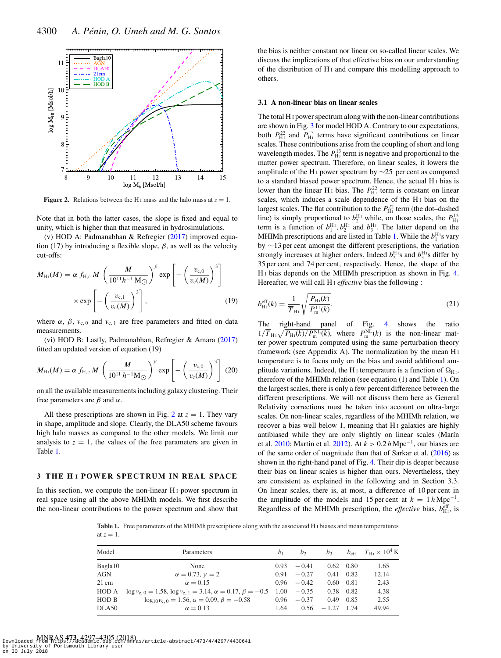<span id="page-3-1"></span>

**Figure 2.** Relations between the H<sub>I</sub> mass and the halo mass at  $z = 1$ .

Note that in both the latter cases, the slope is fixed and equal to unity, which is higher than that measured in hydrosimulations.

(v) HOD A: Padmanabhan & Refregier [\(2017\)](#page-8-22) improved equation (17) by introducing a flexible slope,  $\beta$ , as well as the velocity cut-offs:

$$
M_{\text{H}_1}(M) = \alpha f_{\text{H},c} M \left( \frac{M}{10^{11} h^{-1} M_{\odot}} \right)^{\beta} \exp \left[ - \left( \frac{v_{\text{c},0}}{v_{\text{c}}(M)} \right)^3 \right]
$$

$$
\times \exp \left[ - \left( \frac{v_{\text{c},1}}{v_{\text{c}}(M)} \right)^3 \right], \tag{19}
$$

where  $\alpha$ ,  $\beta$ ,  $v_{c,0}$  and  $v_{c,1}$  are free parameters and fitted on data measurements.

(vi) HOD B: Lastly, Padmanabhan, Refregier & Amara [\(2017\)](#page-8-37) fitted an updated version of equation (19)

$$
M_{\rm H1}(M) = \alpha \, f_{\rm H,c} \, M \, \left(\frac{M}{10^{11} \, h^{-1} \, M_{\odot}}\right)^{\beta} \exp\left[-\left(\frac{v_{\rm c,0}}{v_{\rm c}(M)}\right)^3\right] \, (20)
$$

on all the available measurements including galaxy clustering. Their free parameters are  $\beta$  and  $\alpha$ .

All these prescriptions are shown in Fig. [2](#page-3-1) at  $z = 1$ . They vary in shape, amplitude and slope. Clearly, the DLA50 scheme favours high halo masses as compared to the other models. We limit our analysis to  $z = 1$ , the values of the free parameters are given in Table [1.](#page-3-0)

# **3 THE H I POWER SPECTRUM IN REAL SPACE**

<span id="page-3-0"></span>In this section, we compute the non-linear  $H_1$  power spectrum in real space using all the above MHIMh models. We first describe the non-linear contributions to the power spectrum and show that the bias is neither constant nor linear on so-called linear scales. We discuss the implications of that effective bias on our understanding of the distribution of H <sup>I</sup> and compare this modelling approach to others.

#### **3.1 A non-linear bias on linear scales**

The total  $H_1$  power spectrum along with the non-linear contributions are shown in Fig. [3](#page-4-0) for model HOD A. Contrary to our expectations, both  $P_{\text{H}_{\text{I}}}^{22}$  and  $P_{\text{H}_{\text{I}}}^{13}$  terms have significant contributions on linear scales. These contributions arise from the coupling of short and long wavelength modes. The  $P_{\text{H}_{1}}^{13}$  term is negative and proportional to the matter power spectrum. Therefore, on linear scales, it lowers the amplitude of the H <sup>I</sup> power spectrum by ∼25 per cent as compared to a standard biased power spectrum. Hence, the actual H<sub>I</sub> bias is lower than the linear H<sub>I</sub> bias. The  $P_{\text{H}_{\text{I}}}^{22}$  term is constant on linear scales, which induces a scale dependence of the H<sub>I</sub> bias on the largest scales. The flat contribution to the  $P_{\rm H_1}^{22}$  term (the dot–dashed line) is simply proportional to  $b_2^{\text{H1}}$  while, on those scales, the  $P_{\text{H1}}^{13}$  term is a function of  $b_1^{\text{H1}}, b_2^{\text{H1}}$  and  $b_3^{\text{H1}}$ . The latter depend on the MHIMh prescriptions and are listed in Table [1.](#page-3-0) While the  $b_1^{\text{H}_1}$ 's vary by ∼13 per cent amongst the different prescriptions, the variation strongly increases at higher orders. Indeed  $b_2^{\text{H}_1}$ 's and  $b_3^{\text{H}_1}$ 's differ by 35 per cent and 74 per cent, respectively. Hence, the shape of the H<sub>I</sub> bias depends on the MHIMh prescription as shown in Fig. [4.](#page-4-1) Hereafter, we will call H<sub>I</sub> effective bias the following :

$$
b_{\rm H1}^{\rm eff}(k) = \frac{1}{\overline{T}_{\rm H1}} \sqrt{\frac{P_{\rm H1}(k)}{P_{\rm m}^{\rm 11}(k)}}.
$$
\n(21)

right-hand panel of Fig. [4](#page-4-1) shows the ratio  $1/\overline{T}_{\text{H}_1} \sqrt{P_{\text{H}_1}(k)}/P_{\text{m}}^{\text{NL}}(k)$ , where  $P_{\text{m}}^{\text{NL}}(k)$  is the non-linear matter power spectrum computed using the same perturbation theory framework (see Appendix A). The normalization by the mean H <sup>I</sup> temperature is to focus only on the bias and avoid additional amplitude variations. Indeed, the H<sub>I</sub> temperature is a function of  $\Omega_{\rm H1}$ , therefore of the MHIMh relation (see equation (1) and Table [1\)](#page-3-0). On the largest scales, there is only a few percent difference between the different prescriptions. We will not discuss them here as General Relativity corrections must be taken into account on ultra-large scales. On non-linear scales, regardless of the MHIMh relation, we recover a bias well below 1, meaning that H<sub>I</sub> galaxies are highly antibiased while they are only slightly on linear scales (Marín et al. [2010;](#page-8-38) Martin et al. [2012\)](#page-8-11). At *k* > 0.2 *h* Mpc−1, our biases are of the same order of magnitude than that of Sarkar et al. [\(2016\)](#page-8-25) as shown in the right-hand panel of Fig. [4.](#page-4-1) Their dip is deeper because their bias on linear scales is higher than ours. Nevertheless, they are consistent as explained in the following and in Section 3.3. On linear scales, there is, at most, a difference of 10 per cent in the amplitude of the models and 15 per cent at  $k = 1 h \text{ Mpc}^{-1}$ . Regardless of the MHIMh prescription, the *effective* bias,  $b_{\text{H}_1}^{\text{eff}}$ , is

Table 1. Free parameters of the MHIMh prescriptions along with the associated H<sub>1</sub> biases and mean temperatures at  $z = 1$ .

| $b_{\text{eff}}$ $T_{\text{H}_{\text{I}}} \times 10^4 \text{ K}$ |
|------------------------------------------------------------------|
| 1.65                                                             |
| 12.14                                                            |
| 2.43                                                             |
| 4.38                                                             |
| 2.55                                                             |
| 49.94                                                            |
|                                                                  |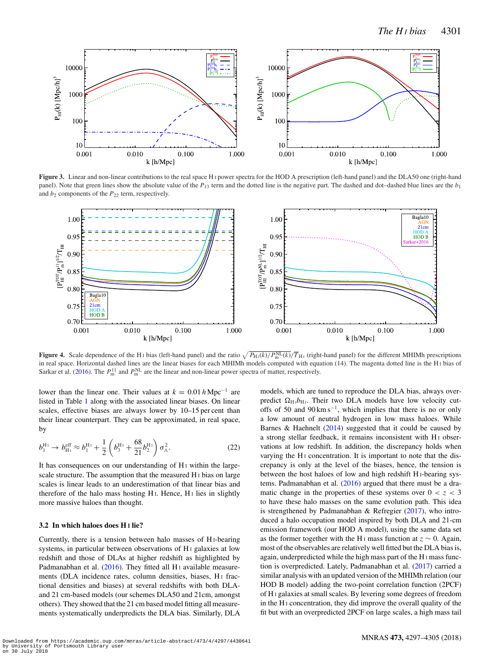<span id="page-4-0"></span>

**Figure 3.** Linear and non-linear contributions to the real space H<sub>1</sub> power spectra for the HOD A prescription (left-hand panel) and the DLA50 one (right-hand panel). Note that green lines show the absolute value of the *P*<sub>13</sub> term and the dotted line is the negative part. The dashed and dot–dashed blue lines are the *b*<sub>1</sub> and  $b_2$  components of the  $P_{22}$  term, respectively.

<span id="page-4-1"></span>

**Figure 4.** Scale dependence of the H<sub>1</sub> bias (left-hand panel) and the ratio  $\sqrt{P_{\text{H}_1}(k)}/P_{\text{H}_1}^{\text{NL}}(k)/\overline{T}_{\text{H}_1}$  (right-hand panel) for the different MHIMh prescriptions in real space. Horizontal dashed lines are the linear biases for each MHIMh models computed with equation (14). The magenta dotted line is the H<sub>1</sub> bias of Sarkar et al. [\(2016\)](#page-8-25). The  $P_{\text{m}}^{11}$  and  $P_{\text{m}}^{\text{NL}}$  are the linear and non-linear power spectra of matter, respectively.

lower than the linear one. Their values at  $k = 0.01 h \text{ Mpc}^{-1}$  are listed in Table [1](#page-3-0) along with the associated linear biases. On linear scales, effective biases are always lower by 10–15 per cent than their linear counterpart. They can be approximated, in real space, by

$$
b_1^{\text{H1}} \to b_{\text{H1}}^{\text{eff}} \approx b_1^{\text{H1}} + \frac{1}{2} \left( b_3^{\text{H1}} + \frac{68}{21} b_2^{\text{H1}} \right) \sigma_\Lambda^2. \tag{22}
$$

It has consequences on our understanding of H<sub>I</sub> within the largescale structure. The assumption that the measured H<sub>I</sub> bias on large scales is linear leads to an underestimation of that linear bias and therefore of the halo mass hosting H<sub>I</sub>. Hence, H<sub>I</sub> lies in slightly more massive haloes than thought.

#### **3.2 In which haloes does H I lie?**

Currently, there is a tension between halo masses of H I-bearing systems, in particular between observations of H<sub>I</sub> galaxies at low redshift and those of DLAs at higher redshift as highlighted by Padmanabhan et al.  $(2016)$ . They fitted all H<sub>I</sub> available measurements (DLA incidence rates, column densities, biases, H<sub>I</sub> fractional densities and biases) at several redshifts with both DLAand 21 cm-based models (our schemes DLA50 and 21cm, amongst others). They showed that the 21 cm based model fitting all measurements systematically underpredicts the DLA bias. Similarly, DLA models, which are tuned to reproduce the DLA bias, always overpredict  $\Omega_{\rm H1} b_{\rm H1}$ . Their two DLA models have low velocity cutoffs of 50 and  $90 \text{ km s}^{-1}$ , which implies that there is no or only a low amount of neutral hydrogen in low mass haloes. While Barnes & Haehnelt  $(2014)$  suggested that it could be caused by a strong stellar feedback, it remains inconsistent with HI observations at low redshift. In addition, the discrepancy holds when varying the  $H_1$  concentration. It is important to note that the discrepancy is only at the level of the biases, hence, the tension is between the host haloes of low and high redshift H I-bearing systems. Padmanabhan et al. [\(2016\)](#page-8-18) argued that there must be a dramatic change in the properties of these systems over  $0 < z < 3$ to have these halo masses on the same evolution path. This idea is strengthened by Padmanabhan & Refregier [\(2017\)](#page-8-22), who introduced a halo occupation model inspired by both DLA and 21-cm emission framework (our HOD A model), using the same data set as the former together with the H<sub>I</sub> mass function at  $z \sim 0$ . Again, most of the observables are relatively well fitted but the DLA bias is, again, underpredicted while the high mass part of the H <sup>I</sup> mass function is overpredicted. Lately, Padmanabhan et al. [\(2017\)](#page-8-37) carried a similar analysis with an updated version of the MHIMh relation (our HOD B model) adding the two-point correlation function (2PCF) of H <sup>I</sup> galaxies at small scales. By levering some degrees of freedom in the H <sup>I</sup> concentration, they did improve the overall quality of the fit but with an overpredicted 2PCF on large scales, a high mass tail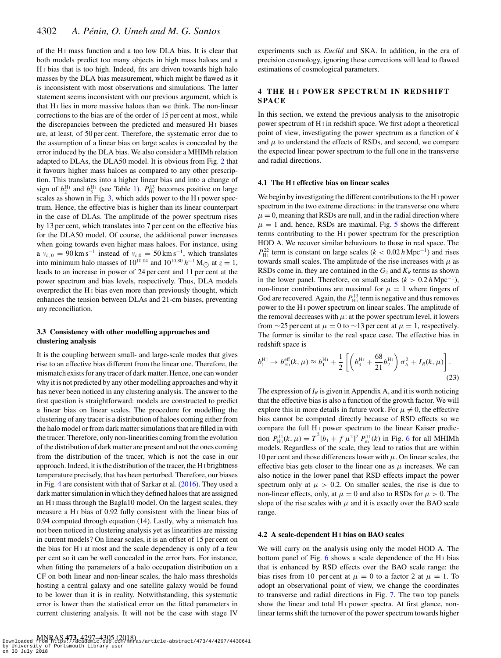of the  $H<sub>I</sub>$  mass function and a too low DLA bias. It is clear that both models predict too many objects in high mass haloes and a  $H<sub>I</sub>$  bias that is too high. Indeed, fits are driven towards high halo masses by the DLA bias measurement, which might be flawed as it is inconsistent with most observations and simulations. The latter statement seems inconsistent with our previous argument, which is that  $H_1$  lies in more massive haloes than we think. The non-linear corrections to the bias are of the order of 15 per cent at most, while the discrepancies between the predicted and measured  $H_1$  biases are, at least, of 50 per cent. Therefore, the systematic error due to the assumption of a linear bias on large scales is concealed by the error induced by the DLA bias. We also consider a MHIMh relation adapted to DLAs, the DLA50 model. It is obvious from Fig. [2](#page-3-1) that it favours higher mass haloes as compared to any other prescription. This translates into a higher linear bias and into a change of sign of  $b_2^{\text{H1}}$  and  $b_3^{\text{H1}}$  (see Table [1\)](#page-3-0).  $P_{\text{H1}}^{13}$  becomes positive on large scales as shown in Fig. [3,](#page-4-0) which adds power to the H<sub>I</sub> power spectrum. Hence, the effective bias is higher than its linear counterpart in the case of DLAs. The amplitude of the power spectrum rises by 13 per cent, which translates into 7 per cent on the effective bias for the DLA50 model. Of course, the additional power increases when going towards even higher mass haloes. For instance, using  $a$   $v_{c,0} = 90 \text{ km s}^{-1}$  instead of  $v_{c,0} = 50 \text{ km s}^{-1}$ , which translates into minimum halo masses of  $10^{10.04}$  and  $10^{10.80}$  *h*<sup>−1</sup> M<sub>O</sub> at  $z = 1$ , leads to an increase in power of 24 per cent and 11 per cent at the power spectrum and bias levels, respectively. Thus, DLA models overpredict the H<sub>I</sub> bias even more than previously thought, which enhances the tension between DLAs and 21-cm biases, preventing any reconciliation.

# **3.3 Consistency with other modelling approaches and clustering analysis**

It is the coupling between small- and large-scale modes that gives rise to an effective bias different from the linear one. Therefore, the mismatch exists for any tracer of dark matter. Hence, one can wonder why it is not predicted by any other modelling approaches and why it has never been noticed in any clustering analysis. The answer to the first question is straightforward: models are constructed to predict a linear bias on linear scales. The procedure for modelling the clustering of any tracer is a distribution of haloes coming either from the halo model or from dark matter simulations that are filled in with the tracer. Therefore, only non-linearities coming from the evolution of the distribution of dark matter are present and not the ones coming from the distribution of the tracer, which is not the case in our approach. Indeed, it is the distribution of the tracer, the H <sup>I</sup> brightness temperature precisely, that has been perturbed. Therefore, our biases in Fig. [4](#page-4-1) are consistent with that of Sarkar et al. [\(2016\)](#page-8-25). They used a dark matter simulation in which they defined haloes that are assigned an H<sub>I</sub> mass through the Bagla10 model. On the largest scales, they measure a H<sub>I</sub> bias of 0.92 fully consistent with the linear bias of 0.94 computed through equation (14). Lastly, why a mismatch has not been noticed in clustering analysis yet as linearities are missing in current models? On linear scales, it is an offset of 15 per cent on the bias for  $H<sub>I</sub>$  at most and the scale dependency is only of a few per cent so it can be well concealed in the error bars. For instance, when fitting the parameters of a halo occupation distribution on a CF on both linear and non-linear scales, the halo mass thresholds hosting a central galaxy and one satellite galaxy would be found to be lower than it is in reality. Notwithstanding, this systematic error is lower than the statistical error on the fitted parameters in current clustering analysis. It will not be the case with stage IV

experiments such as *Euclid* and SKA. In addition, in the era of precision cosmology, ignoring these corrections will lead to flawed estimations of cosmological parameters.

# **4 THE H I POWER SPECTRUM IN REDSHIFT SPACE**

In this section, we extend the previous analysis to the anisotropic power spectrum of  $H_1$  in redshift space. We first adopt a theoretical point of view, investigating the power spectrum as a function of *k* and  $\mu$  to understand the effects of RSDs, and second, we compare the expected linear power spectrum to the full one in the transverse and radial directions.

#### **4.1 The H I effective bias on linear scales**

We begin by investigating the different contributions to the H<sub>I</sub> power spectrum in the two extreme directions: in the transverse one where  $\mu = 0$ , meaning that RSDs are null, and in the radial direction where  $\mu = 1$  and, hence, RSDs are maximal. Fig. [5](#page-6-0) shows the different terms contributing to the  $H<sub>I</sub>$  power spectrum for the prescription HOD A. We recover similar behaviours to those in real space. The  $P_{\text{H}_{1}}^{22}$  term is constant on large scales ( $k < 0.02 h \text{ Mpc}^{-1}$ ) and rises towards small scales. The amplitude of the rise increases with  $\mu$  as RSDs come in, they are contained in the  $G_2$  and  $K_R$  terms as shown in the lower panel. Therefore, on small scales  $(k > 0.2 h \text{ Mpc}^{-1})$ , non-linear contributions are maximal for  $\mu = 1$  where fingers of God are recovered. Again, the  $P_{\rm H1}^{13}$  term is negative and thus removes power to the H <sup>I</sup> power spectrum on linear scales. The amplitude of the removal decreases with  $\mu$ : at the power spectrum level, it lowers from ∼25 per cent at  $\mu = 0$  to ∼13 per cent at  $\mu = 1$ , respectively. The former is similar to the real space case. The effective bias in redshift space is

$$
b_1^{\text{H1}} \to b_{\text{H1}}^{\text{eff}}(k,\mu) \approx b_1^{\text{H1}} + \frac{1}{2} \left[ \left( b_3^{\text{H1}} + \frac{68}{21} b_2^{\text{H1}} \right) \sigma_\Lambda^2 + I_R(k,\mu) \right].
$$
\n(23)

The expression of  $I_R$  is given in Appendix A, and it is worth noticing that the effective bias is also a function of the growth factor. We will explore this in more details in future work. For  $\mu \neq 0$ , the effective bias cannot be computed directly because of RSD effects so we compare the full H<sub>1</sub> power spectrum to the linear Kaiser prediction  $P_{\text{H}_1}^{11}(k,\mu) = \overline{T}^2[b_1 + f \mu^2]^2 P_{\text{m}}^{11}(k)$  in Fig. [6](#page-7-5) for all MHIMh models. Regardless of the scale, they lead to ratios that are within 10 per cent and those differences lower with  $\mu$ . On linear scales, the effective bias gets closer to the linear one as  $\mu$  increases. We can also notice in the lower panel that RSD effects impact the power spectrum only at  $\mu > 0.2$ . On smaller scales, the rise is due to non-linear effects, only, at  $\mu = 0$  and also to RSDs for  $\mu > 0$ . The slope of the rise scales with  $\mu$  and it is exactly over the BAO scale range.

#### **4.2 A scale-dependent H I bias on BAO scales**

We will carry on the analysis using only the model HOD A. The bottom panel of Fig.  $6$  shows a scale dependence of the H<sub>I</sub> bias that is enhanced by RSD effects over the BAO scale range: the bias rises from 10 per cent at  $\mu = 0$  to a factor 2 at  $\mu = 1$ . To adopt an observational point of view, we change the coordinates to transverse and radial directions in Fig. [7.](#page-7-6) The two top panels show the linear and total H<sub>I</sub> power spectra. At first glance, nonlinear terms shift the turnover of the power spectrum towards higher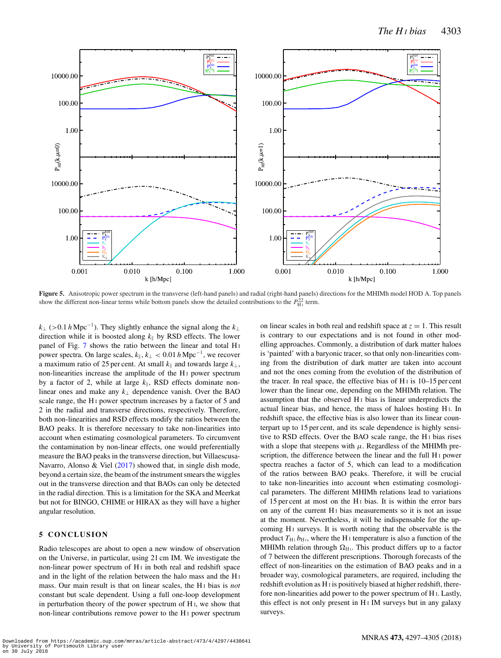<span id="page-6-0"></span>

**Figure 5.** Anisotropic power spectrum in the transverse (left-hand panels) and radial (right-hand panels) directions for the MHIMh model HOD A. Top panels show the different non-linear terms while bottom panels show the detailed contributions to the  $P_{\rm H_1}^{22}$  term.

 $k_{\perp}$  (>0.1 *h* Mpc<sup>-1</sup>). They slightly enhance the signal along the  $k_{\perp}$ direction while it is boosted along  $k_{\parallel}$  by RSD effects. The lower panel of Fig. [7](#page-7-6) shows the ratio between the linear and total H<sub>I</sub> power spectra. On large scales,  $k_{\parallel}$ ,  $k_{\perp}$  < 0.01 *h* Mpc<sup>-1</sup>, we recover a maximum ratio of 25 per cent. At small  $k_{\parallel}$  and towards large  $k_{\perp}$ , non-linearities increase the amplitude of the H<sub>I</sub> power spectrum by a factor of 2, while at large  $k_{\parallel}$ , RSD effects dominate nonlinear ones and make any *k*<sup>⊥</sup> dependence vanish. Over the BAO scale range, the H<sub>I</sub> power spectrum increases by a factor of 5 and 2 in the radial and transverse directions, respectively. Therefore, both non-linearities and RSD effects modify the ratios between the BAO peaks. It is therefore necessary to take non-linearities into account when estimating cosmological parameters. To circumvent the contamination by non-linear effects, one would preferentially measure the BAO peaks in the transverse direction, but Villaescusa-Navarro, Alonso & Viel [\(2017\)](#page-8-39) showed that, in single dish mode, beyond a certain size, the beam of the instrument smears the wiggles out in the transverse direction and that BAOs can only be detected in the radial direction. This is a limitation for the SKA and Meerkat but not for BINGO, CHIME or HIRAX as they will have a higher angular resolution.

# **5 CONCLUSION**

Radio telescopes are about to open a new window of observation on the Universe, in particular, using 21 cm IM. We investigate the non-linear power spectrum of  $H_1$  in both real and redshift space and in the light of the relation between the halo mass and the H <sup>I</sup> mass. Our main result is that on linear scales, the H <sup>I</sup> bias is *not* constant but scale dependent. Using a full one-loop development in perturbation theory of the power spectrum of H I, we show that non-linear contributions remove power to the H <sup>I</sup> power spectrum on linear scales in both real and redshift space at  $z = 1$ . This result is contrary to our expectations and is not found in other modelling approaches. Commonly, a distribution of dark matter haloes is 'painted' with a baryonic tracer, so that only non-linearities coming from the distribution of dark matter are taken into account and not the ones coming from the evolution of the distribution of the tracer. In real space, the effective bias of  $H<sub>I</sub>$  is 10–15 per cent lower than the linear one, depending on the MHIMh relation. The assumption that the observed H<sub>I</sub> bias is linear underpredicts the actual linear bias, and hence, the mass of haloes hosting H I. In redshift space, the effective bias is also lower than its linear counterpart up to 15 per cent, and its scale dependence is highly sensitive to RSD effects. Over the BAO scale range, the H<sub>I</sub> bias rises with a slope that steepens with  $\mu$ . Regardless of the MHIMh prescription, the difference between the linear and the full  $H_1$  power spectra reaches a factor of 5, which can lead to a modification of the ratios between BAO peaks. Therefore, it will be crucial to take non-linearities into account when estimating cosmological parameters. The different MHIMh relations lead to variations of 15 per cent at most on the H $\scriptstyle\rm I$  bias. It is within the error bars on any of the current H<sub>I</sub> bias measurements so it is not an issue at the moment. Nevertheless, it will be indispensable for the upcoming H<sub>I</sub> surveys. It is worth noting that the observable is the product  $T_{\rm H1}$   $b_{\rm H1}$ , where the H<sub>I</sub> temperature is also a function of the MHIMh relation through  $\Omega_{\rm H1}$ . This product differs up to a factor of 7 between the different prescriptions. Thorough forecasts of the effect of non-linearities on the estimation of BAO peaks and in a broader way, cosmological parameters, are required, including the redshift evolution as H <sup>I</sup> is positively biased at higher redshift, therefore non-linearities add power to the power spectrum of H I. Lastly, this effect is not only present in H<sub>I</sub> IM surveys but in any galaxy surveys.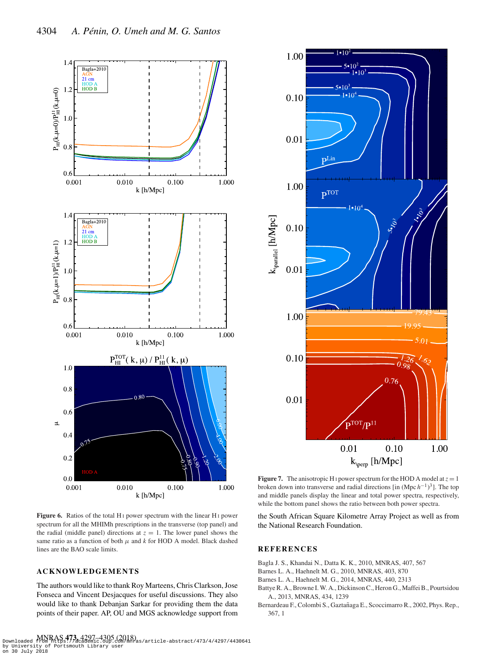<span id="page-7-5"></span>

**Figure 6.** Ratios of the total H<sub>I</sub> power spectrum with the linear H<sub>I</sub> power spectrum for all the MHIMh prescriptions in the transverse (top panel) and the radial (middle panel) directions at  $z = 1$ . The lower panel shows the same ratio as a function of both  $\mu$  and  $k$  for HOD A model. Black dashed lines are the BAO scale limits.

# **ACKNOWLEDGEMENTS**

The authors would like to thank Roy Marteens, Chris Clarkson, Jose Fonseca and Vincent Desjacques for useful discussions. They also would like to thank Debanjan Sarkar for providing them the data points of their paper. AP, OU and MGS acknowledge support from

<span id="page-7-6"></span>

**Figure 7.** The anisotropic H<sub>1</sub> power spectrum for the HOD A model at  $z = 1$ broken down into transverse and radial directions [in (Mpc *h*−1) 3]. The top and middle panels display the linear and total power spectra, respectively, while the bottom panel shows the ratio between both power spectra.

the South African Square Kilometre Array Project as well as from the National Research Foundation.

# **REFERENCES**

- <span id="page-7-1"></span>Bagla J. S., Khandai N., Datta K. K., 2010, MNRAS, 407, 567
- <span id="page-7-2"></span>Barnes L. A., Haehnelt M. G., 2010, MNRAS, 403, 870
- <span id="page-7-3"></span>Barnes L. A., Haehnelt M. G., 2014, MNRAS, 440, 2313
- <span id="page-7-0"></span>Battye R. A., Browne I.W. A., Dickinson C., Heron G., Maffei B., Pourtsidou A., 2013, MNRAS, 434, 1239
- <span id="page-7-4"></span>Bernardeau F., Colombi S., Gaztañaga E., Scoccimarro R., 2002, Phys. Rep., 367, 1